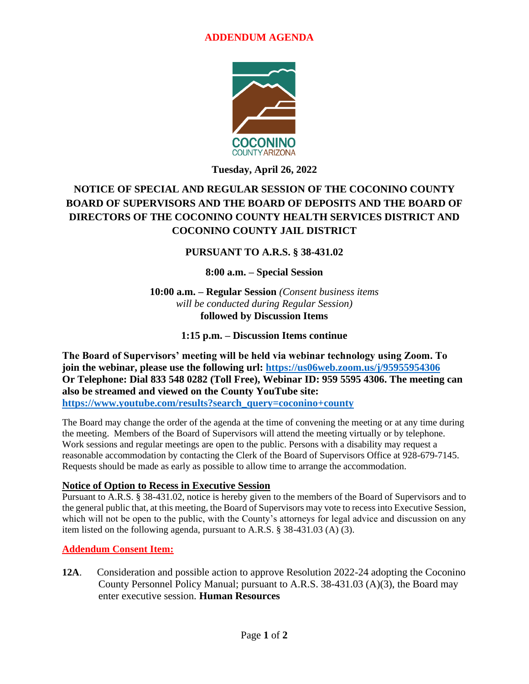# **ADDENDUM AGENDA**



**Tuesday, April 26, 2022**

# **NOTICE OF SPECIAL AND REGULAR SESSION OF THE COCONINO COUNTY BOARD OF SUPERVISORS AND THE BOARD OF DEPOSITS AND THE BOARD OF DIRECTORS OF THE COCONINO COUNTY HEALTH SERVICES DISTRICT AND COCONINO COUNTY JAIL DISTRICT**

# **PURSUANT TO A.R.S. § 38-431.02**

**8:00 a.m. – Special Session**

**10:00 a.m. – Regular Session** *(Consent business items will be conducted during Regular Session)* **followed by Discussion Items**

**1:15 p.m. – Discussion Items continue**

**The Board of Supervisors' meeting will be held via webinar technology using Zoom. To join the webinar, please use the following url: <https://us06web.zoom.us/j/95955954306> Or Telephone: Dial 833 548 0282 (Toll Free), Webinar ID: 959 5595 4306. The meeting can also be streamed and viewed on the County YouTube site: [https://www.youtube.com/results?search\\_query=coconino+county](https://www.youtube.com/results?search_query=coconino+county)**

The Board may change the order of the agenda at the time of convening the meeting or at any time during the meeting. Members of the Board of Supervisors will attend the meeting virtually or by telephone. Work sessions and regular meetings are open to the public. Persons with a disability may request a reasonable accommodation by contacting the Clerk of the Board of Supervisors Office at 928-679-7145. Requests should be made as early as possible to allow time to arrange the accommodation.

### **Notice of Option to Recess in Executive Session**

Pursuant to A.R.S. § 38-431.02, notice is hereby given to the members of the Board of Supervisors and to the general public that, at this meeting, the Board of Supervisors may vote to recess into Executive Session, which will not be open to the public, with the County's attorneys for legal advice and discussion on any item listed on the following agenda, pursuant to A.R.S. § 38-431.03 (A) (3).

### **Addendum Consent Item:**

**12A**. Consideration and possible action to approve Resolution 2022-24 adopting the Coconino County Personnel Policy Manual; pursuant to A.R.S. 38-431.03 (A)(3), the Board may enter executive session. **Human Resources**